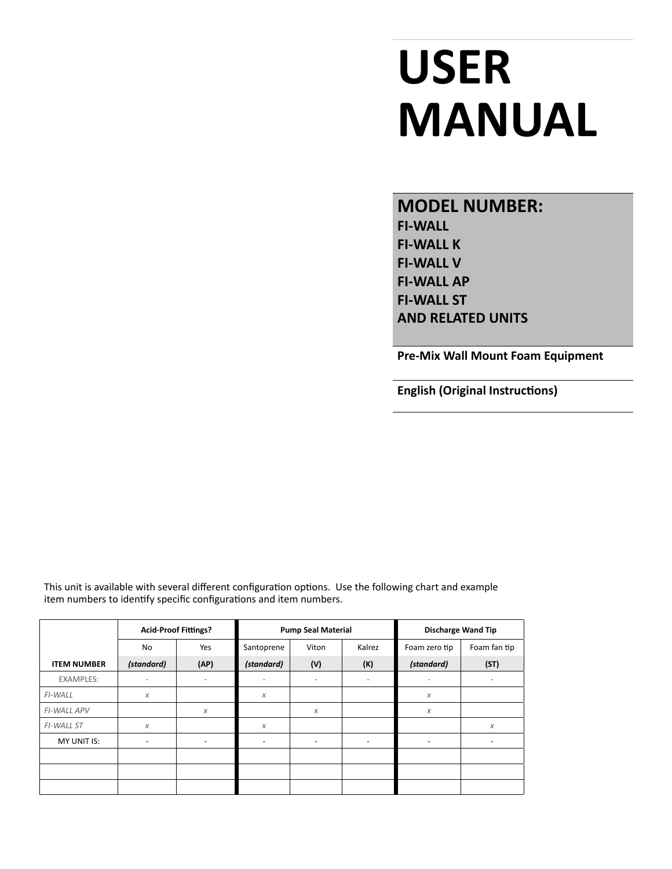# **USER MANUAL**

**MODEL NUMBER: FI-WALL FI-WALL K FI-WALL V FI-WALL AP FI-WALL ST AND RELATED UNITS**

**Pre-Mix Wall Mount Foam Equipment**

**English (Original Instructions)**

This unit is available with several different configuration options. Use the following chart and example item numbers to identify specific configurations and item numbers.

|                    | <b>Acid-Proof Fittings?</b> |                          | <b>Pump Seal Material</b> |                          |                          | <b>Discharge Wand Tip</b> |              |
|--------------------|-----------------------------|--------------------------|---------------------------|--------------------------|--------------------------|---------------------------|--------------|
|                    | <b>No</b>                   | Yes                      | Santoprene                | Viton                    | Kalrez                   | Foam zero tip             | Foam fan tip |
| <b>ITEM NUMBER</b> | (standard)                  | (AP)                     | (standard)                | (V)                      | (K)                      | (standard)                | (ST)         |
| <b>EXAMPLES:</b>   | $\overline{\phantom{a}}$    | $\overline{\phantom{a}}$ | $\overline{\phantom{a}}$  | $\overline{\phantom{a}}$ | $\overline{\phantom{a}}$ | $\overline{\phantom{a}}$  | -            |
| FI-WALL            | $\chi$                      |                          | X                         |                          |                          | X                         |              |
| FI-WALL APV        |                             | X                        |                           | $\chi$                   |                          | X                         |              |
| <b>FI-WALL ST</b>  | $\chi$                      |                          | $\chi$                    |                          |                          |                           | X            |
| MY UNIT IS:        | $\overline{\phantom{0}}$    | $\overline{\phantom{0}}$ | $\overline{\phantom{a}}$  | $\overline{\phantom{0}}$ | ٠                        | $\overline{\phantom{a}}$  |              |
|                    |                             |                          |                           |                          |                          |                           |              |
|                    |                             |                          |                           |                          |                          |                           |              |
|                    |                             |                          |                           |                          |                          |                           |              |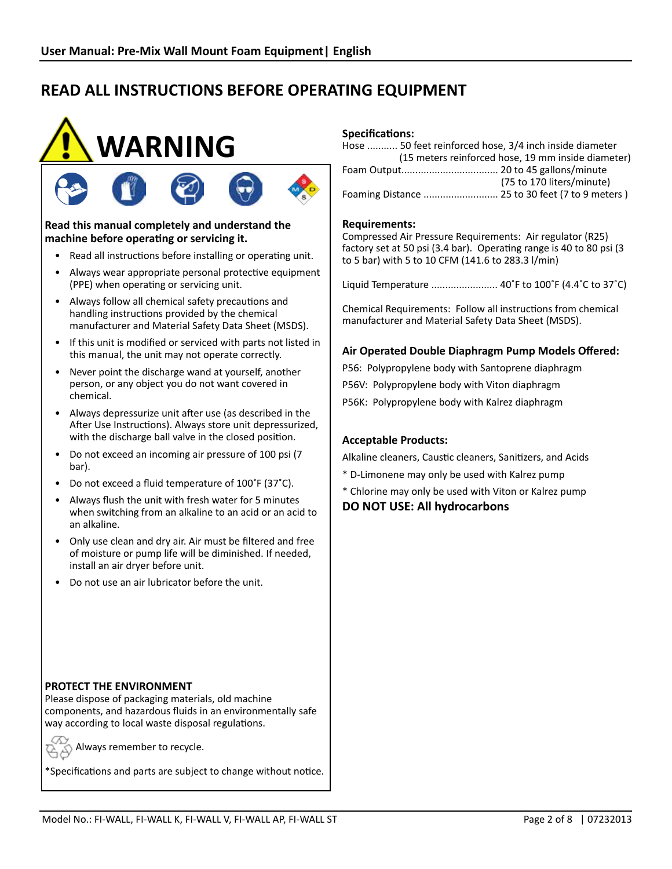



#### **Read this manual completely and understand the machine before operating or servicing it.**

- Read all instructions before installing or operating unit.
- Always wear appropriate personal protective equipment (PPE) when operating or servicing unit.
- Always follow all chemical safety precautions and handling instructions provided by the chemical manufacturer and Material Safety Data Sheet (MSDS).
- If this unit is modified or serviced with parts not listed in this manual, the unit may not operate correctly.
- Never point the discharge wand at yourself, another person, or any object you do not want covered in chemical.
- Always depressurize unit after use (as described in the After Use Instructions). Always store unit depressurized, with the discharge ball valve in the closed position.
- Do not exceed an incoming air pressure of 100 psi (7 bar).
- Do not exceed a fluid temperature of 100˚F (37˚C).
- Always flush the unit with fresh water for 5 minutes when switching from an alkaline to an acid or an acid to an alkaline.
- Only use clean and dry air. Air must be filtered and free of moisture or pump life will be diminished. If needed, install an air dryer before unit.
- Do not use an air lubricator before the unit.

#### **Specifications:**

| Hose  50 feet reinforced hose, 3/4 inch inside diameter |                                                    |
|---------------------------------------------------------|----------------------------------------------------|
|                                                         | (15 meters reinforced hose, 19 mm inside diameter) |
|                                                         |                                                    |
|                                                         | (75 to 170 liters/minute)                          |
|                                                         | Foaming Distance  25 to 30 feet (7 to 9 meters)    |

#### **Requirements:**

Compressed Air Pressure Requirements: Air regulator (R25) factory set at 50 psi (3.4 bar). Operating range is 40 to 80 psi (3 to 5 bar) with 5 to 10 CFM (141.6 to 283.3 l/min)

Liquid Temperature ........................ 40˚F to 100˚F (4.4˚C to 37˚C)

Chemical Requirements: Follow all instructions from chemical manufacturer and Material Safety Data Sheet (MSDS).

#### **Air Operated Double Diaphragm Pump Models Offered:**

P56: Polypropylene body with Santoprene diaphragm P56V: Polypropylene body with Viton diaphragm P56K: Polypropylene body with Kalrez diaphragm

#### **Acceptable Products:**

Alkaline cleaners, Caustic cleaners, Sanitizers, and Acids

- \* D-Limonene may only be used with Kalrez pump
- \* Chlorine may only be used with Viton or Kalrez pump

**DO NOT USE: All hydrocarbons**

#### **PROTECT THE ENVIRONMENT**

Please dispose of packaging materials, old machine components, and hazardous fluids in an environmentally safe way according to local waste disposal regulations.

Always remember to recycle.

\*Specifications and parts are subject to change without notice.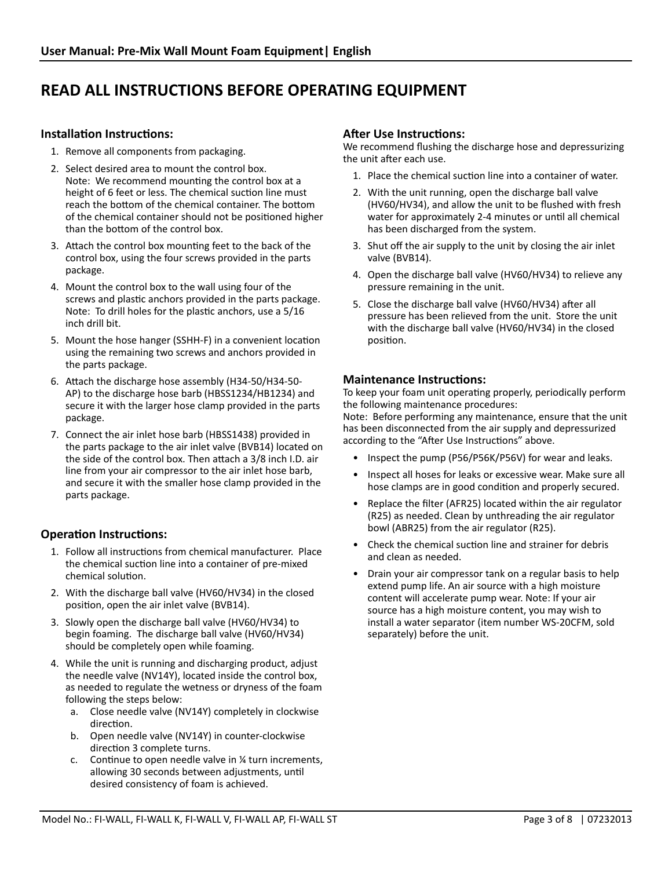#### **Installation Instructions:**

- 1. Remove all components from packaging.
- 2. Select desired area to mount the control box. Note: We recommend mounting the control box at a height of 6 feet or less. The chemical suction line must reach the bottom of the chemical container. The bottom of the chemical container should not be positioned higher than the bottom of the control box.
- 3. Attach the control box mounting feet to the back of the control box, using the four screws provided in the parts package.
- 4. Mount the control box to the wall using four of the screws and plastic anchors provided in the parts package. Note: To drill holes for the plastic anchors, use a 5/16 inch drill bit.
- 5. Mount the hose hanger (SSHH-F) in a convenient location using the remaining two screws and anchors provided in the parts package.
- 6. Attach the discharge hose assembly (H34-50/H34-50- AP) to the discharge hose barb (HBSS1234/HB1234) and secure it with the larger hose clamp provided in the parts package.
- 7. Connect the air inlet hose barb (HBSS1438) provided in the parts package to the air inlet valve (BVB14) located on the side of the control box. Then attach a 3/8 inch I.D. air line from your air compressor to the air inlet hose barb, and secure it with the smaller hose clamp provided in the parts package.

#### **Operation Instructions:**

- 1. Follow all instructions from chemical manufacturer. Place the chemical suction line into a container of pre-mixed chemical solution.
- 2. With the discharge ball valve (HV60/HV34) in the closed position, open the air inlet valve (BVB14).
- 3. Slowly open the discharge ball valve (HV60/HV34) to begin foaming. The discharge ball valve (HV60/HV34) should be completely open while foaming.
- 4. While the unit is running and discharging product, adjust the needle valve (NV14Y), located inside the control box, as needed to regulate the wetness or dryness of the foam following the steps below:
	- a. Close needle valve (NV14Y) completely in clockwise direction.
	- b. Open needle valve (NV14Y) in counter-clockwise direction 3 complete turns.
	- c. Continue to open needle valve in ¼ turn increments, allowing 30 seconds between adjustments, until desired consistency of foam is achieved.

#### **After Use Instructions:**

We recommend flushing the discharge hose and depressurizing the unit after each use.

- 1. Place the chemical suction line into a container of water.
- 2. With the unit running, open the discharge ball valve (HV60/HV34), and allow the unit to be flushed with fresh water for approximately 2-4 minutes or until all chemical has been discharged from the system.
- 3. Shut off the air supply to the unit by closing the air inlet valve (BVB14).
- 4. Open the discharge ball valve (HV60/HV34) to relieve any pressure remaining in the unit.
- 5. Close the discharge ball valve (HV60/HV34) after all pressure has been relieved from the unit. Store the unit with the discharge ball valve (HV60/HV34) in the closed position.

#### **Maintenance Instructions:**

To keep your foam unit operating properly, periodically perform the following maintenance procedures:

Note: Before performing any maintenance, ensure that the unit has been disconnected from the air supply and depressurized according to the "After Use Instructions" above.

- Inspect the pump (P56/P56K/P56V) for wear and leaks.
- Inspect all hoses for leaks or excessive wear. Make sure all hose clamps are in good condition and properly secured.
- Replace the filter (AFR25) located within the air regulator (R25) as needed. Clean by unthreading the air regulator bowl (ABR25) from the air regulator (R25).
- Check the chemical suction line and strainer for debris and clean as needed.
- Drain your air compressor tank on a regular basis to help extend pump life. An air source with a high moisture content will accelerate pump wear. Note: If your air source has a high moisture content, you may wish to install a water separator (item number WS-20CFM, sold separately) before the unit.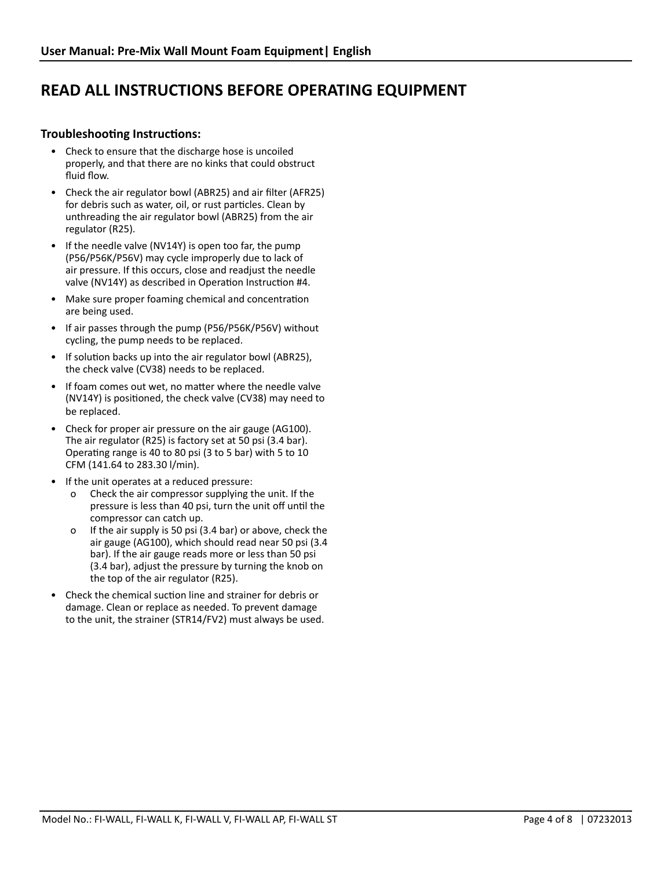#### **Troubleshooting Instructions:**

- Check to ensure that the discharge hose is uncoiled properly, and that there are no kinks that could obstruct fluid flow.
- Check the air regulator bowl (ABR25) and air filter (AFR25) for debris such as water, oil, or rust particles. Clean by unthreading the air regulator bowl (ABR25) from the air regulator (R25).
- If the needle valve (NV14Y) is open too far, the pump (P56/P56K/P56V) may cycle improperly due to lack of air pressure. If this occurs, close and readjust the needle valve (NV14Y) as described in Operation Instruction #4.
- Make sure proper foaming chemical and concentration are being used.
- If air passes through the pump (P56/P56K/P56V) without cycling, the pump needs to be replaced.
- If solution backs up into the air regulator bowl (ABR25), the check valve (CV38) needs to be replaced.
- If foam comes out wet, no matter where the needle valve (NV14Y) is positioned, the check valve (CV38) may need to be replaced.
- Check for proper air pressure on the air gauge (AG100). The air regulator (R25) is factory set at 50 psi (3.4 bar). Operating range is 40 to 80 psi (3 to 5 bar) with 5 to 10 CFM (141.64 to 283.30 l/min).
- If the unit operates at a reduced pressure:
	- Check the air compressor supplying the unit. If the pressure is less than 40 psi, turn the unit off until the compressor can catch up.
	- o If the air supply is 50 psi (3.4 bar) or above, check the air gauge (AG100), which should read near 50 psi (3.4 bar). If the air gauge reads more or less than 50 psi (3.4 bar), adjust the pressure by turning the knob on the top of the air regulator (R25).
- Check the chemical suction line and strainer for debris or damage. Clean or replace as needed. To prevent damage to the unit, the strainer (STR14/FV2) must always be used.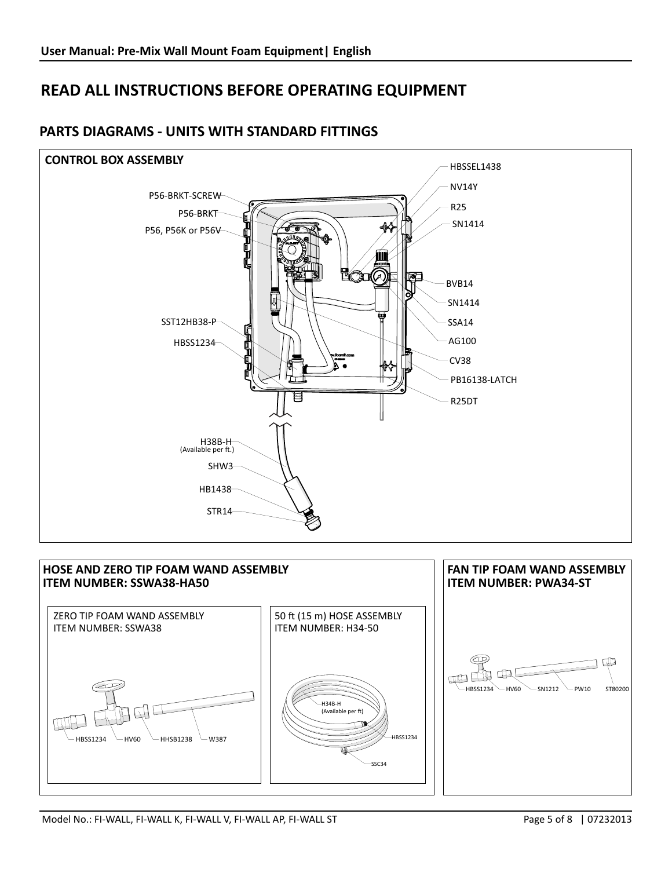

## **PARTS DIAGRAMS - UNITS WITH STANDARD FITTINGS**

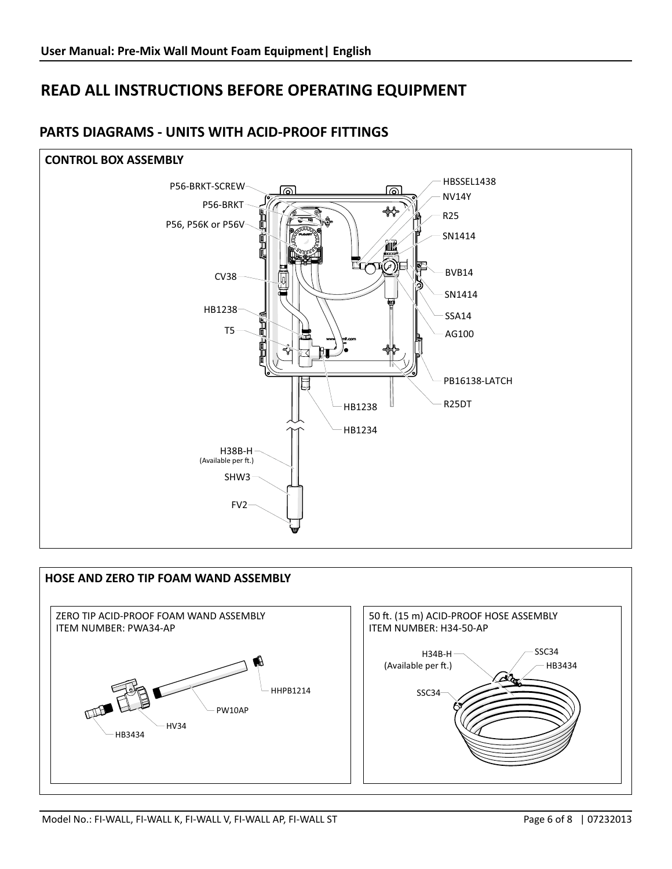

## **PARTS DIAGRAMS - UNITS WITH ACID-PROOF FITTINGS**

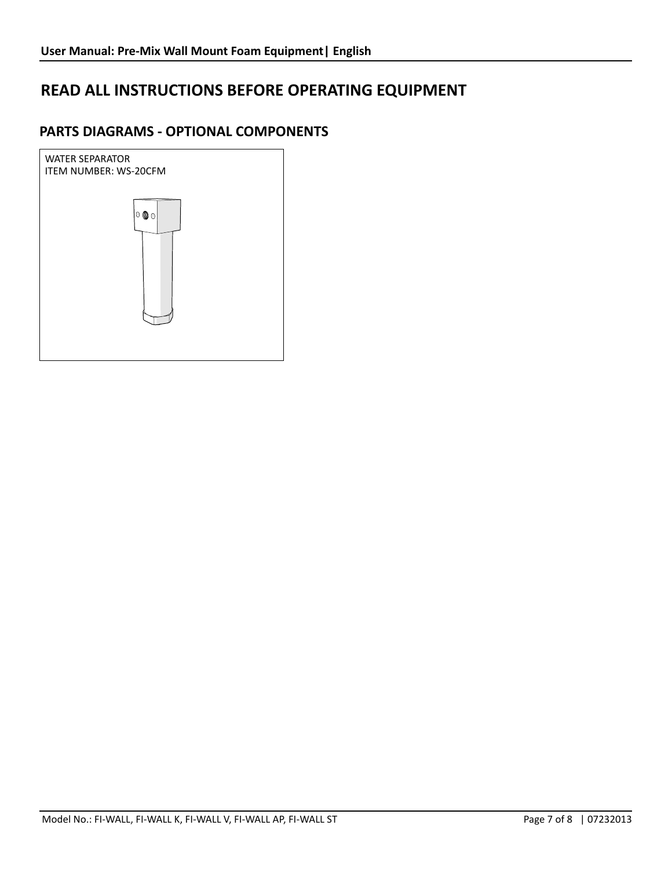## **PARTS DIAGRAMS - OPTIONAL COMPONENTS**